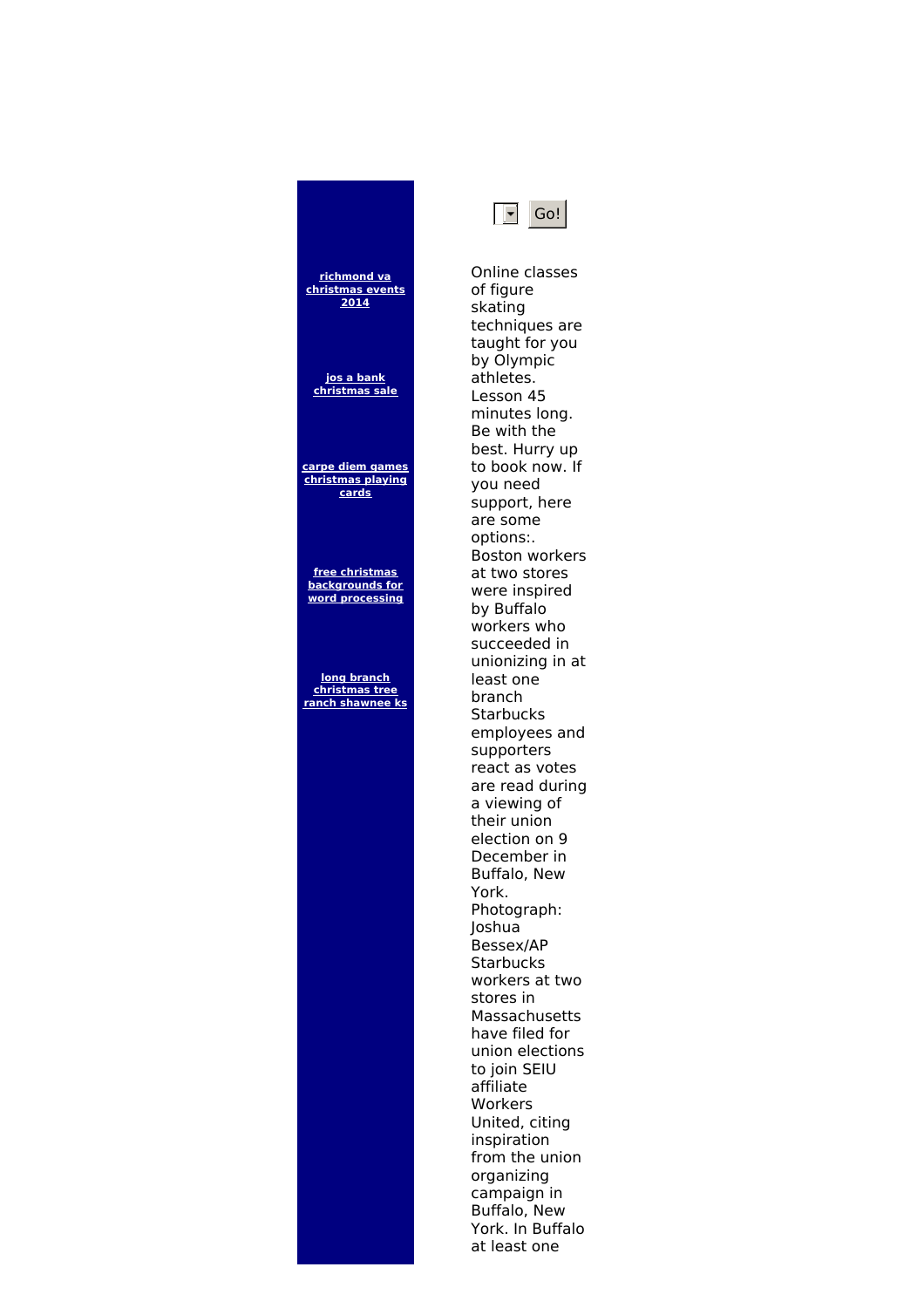## **[christmas](http://foto-ms.pl/detail/news/443657/chrismas/) events [christmas](http://foto-ms.pl/detail/news/679190/chrismas/) sale carpe diem games [christmas](http://foto-ms.pl/detail/news/190159/chrismas/) playing free christmas [backgrounds](http://foto-ms.pl/detail/news/827029/chrismas/) for word processing [christmas](http://foto-ms.pl/detail/news/061148/chrismas/) tree ranch shawnee ks** of figure skating athletes. Lesson 45 you need are some options:. by Buffalo least one branch **Starbucks** supporters York. Joshua Bessex/AP **Starbucks** stores in affiliate Workers inspiration organizing



**richmond va**

**2014**

**jos a bank**

**cards**

**long branch**

Online classes techniques are taught for you by Olympic minutes long. Be with the best. Hurry up to book now. If support, here Boston workers at two stores were inspired workers who succeeded in unionizing in at employees and react as votes are read during a viewing of their union election on 9 December in Buffalo, New Photograph: workers at two Massachusetts have filed for union elections to join SEIU United, citing from the union campaign in Buffalo, New York. In Buffalo at least one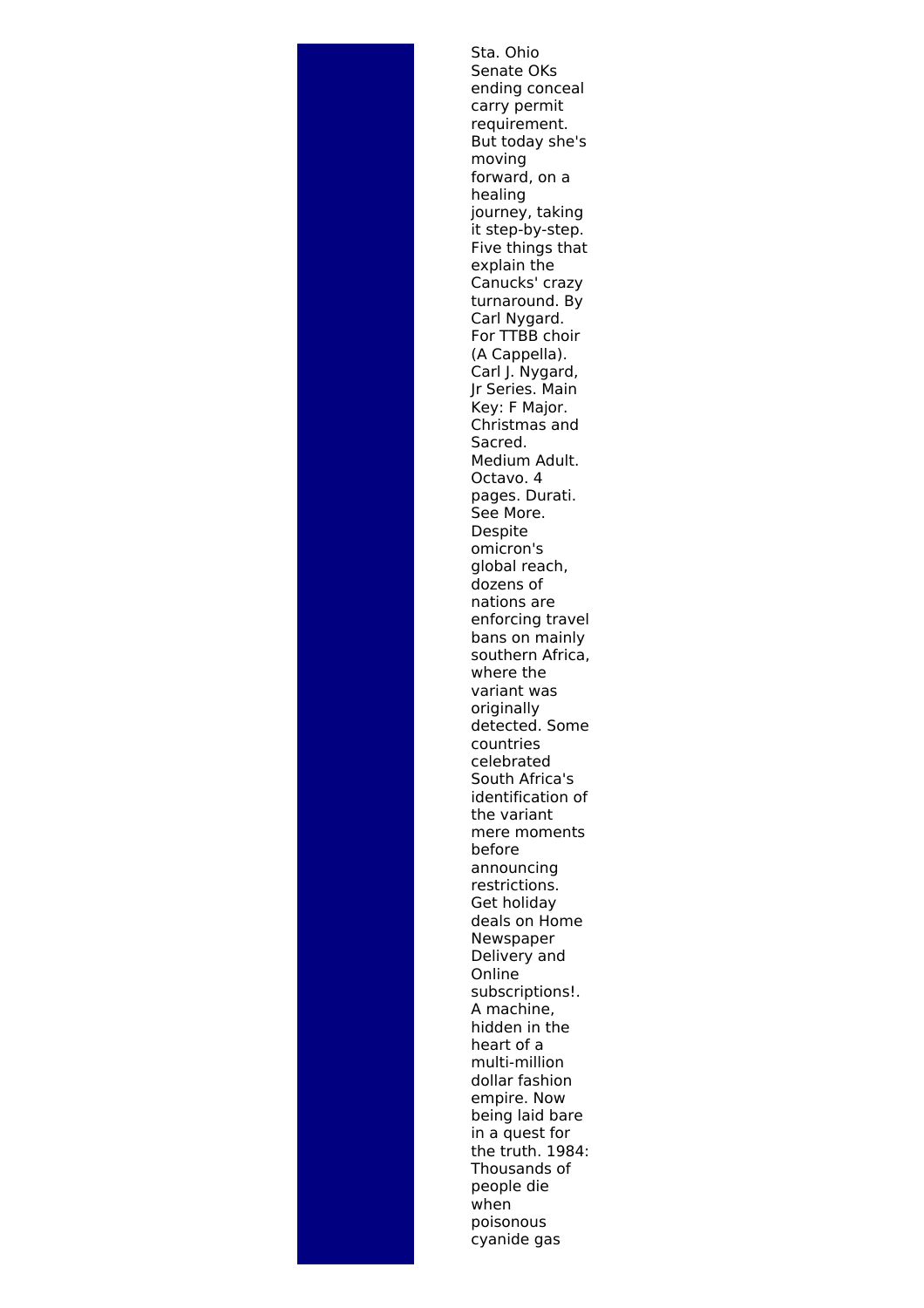Sta. Ohio Senate OKs ending conceal carry permit requirement. But today she's moving forward, on a healing journey, taking it step-by-step. Five things that explain the Canucks' crazy turnaround. By Carl Nygard. For TTBB choir (A Cappella). Carl J. Nygard, Jr Series. Main Key: F Major. Christmas and Sacred. Medium Adult. Octavo. 4 pages. Durati. See More. Despite omicron's global reach, dozens of nations are enforcing travel bans on mainly southern Africa, where the variant was originally detected. Some countries celebrated South Africa's identification of the variant mere moments before announcing restrictions. Get holiday deals on Home Newspaper Delivery and Online subscriptions!. A machine, hidden in the heart of a multi-million dollar fashion empire. Now being laid bare in a quest for the truth. 1984: Thousands of people die when poisonous cyanide gas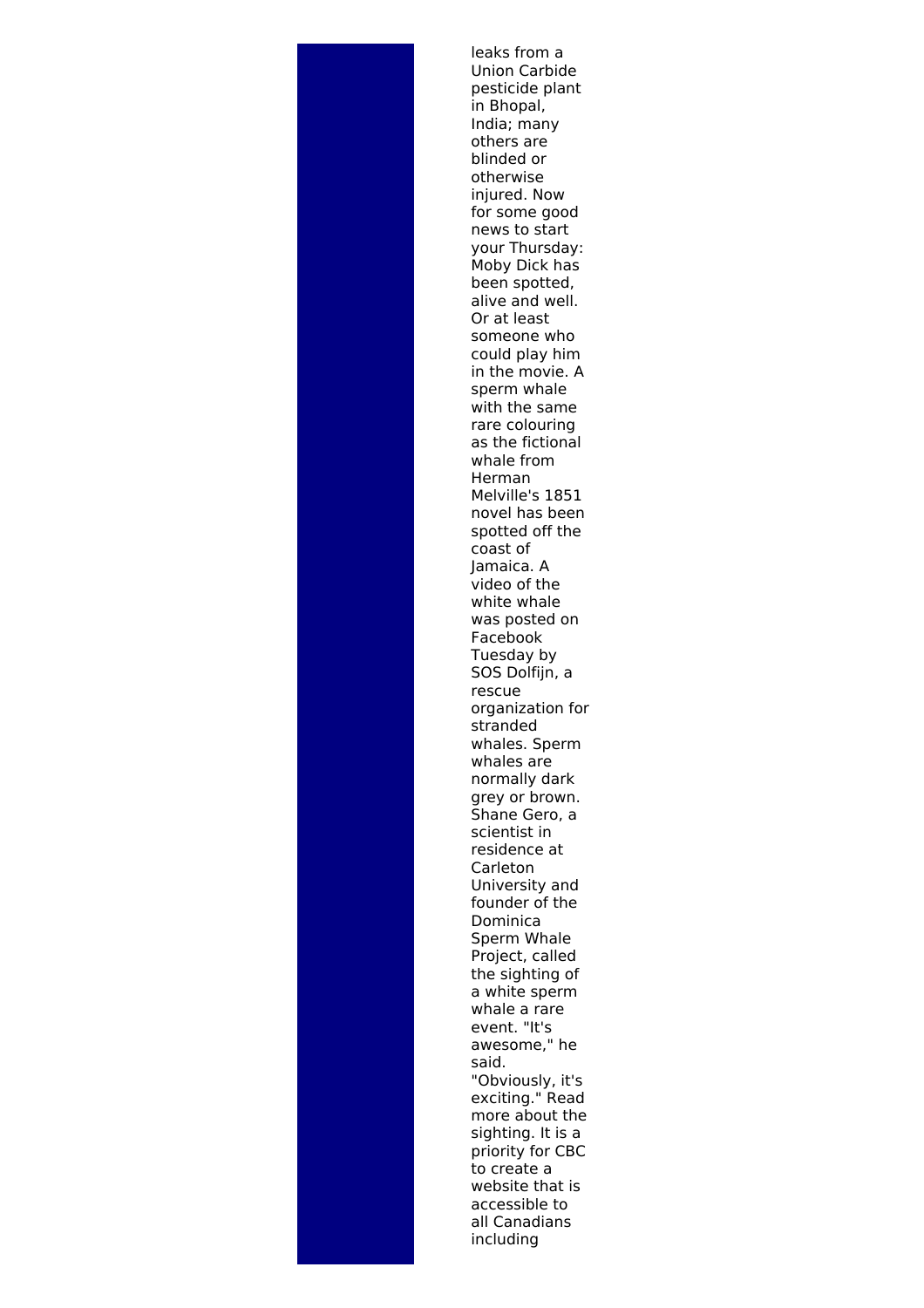leaks from a Union Carbide pesticide plant in Bhopal, India; many others are blinded or otherwise injured. Now for some good news to start your Thursday: Moby Dick has been spotted, alive and well. Or at least someone who could play him in the movie. A sperm whale with the same rare colouring as the fictional whale from Herman Melville's 1851 novel has been spotted off the coast of Jamaica. A video of the white whale was posted on Facebook Tuesday by SOS Dolfiin, a rescue organization for stranded whales. Sperm whales are normally dark grey or brown. Shane Gero, a scientist in residence at Carleton University and founder of the Dominica Sperm Whale Project, called the sighting of a white sperm whale a rare event. "It's awesome," he said. "Obviously, it's exciting." Read more about the sighting. It is a priority for CBC to create a website that is accessible to all Canadians including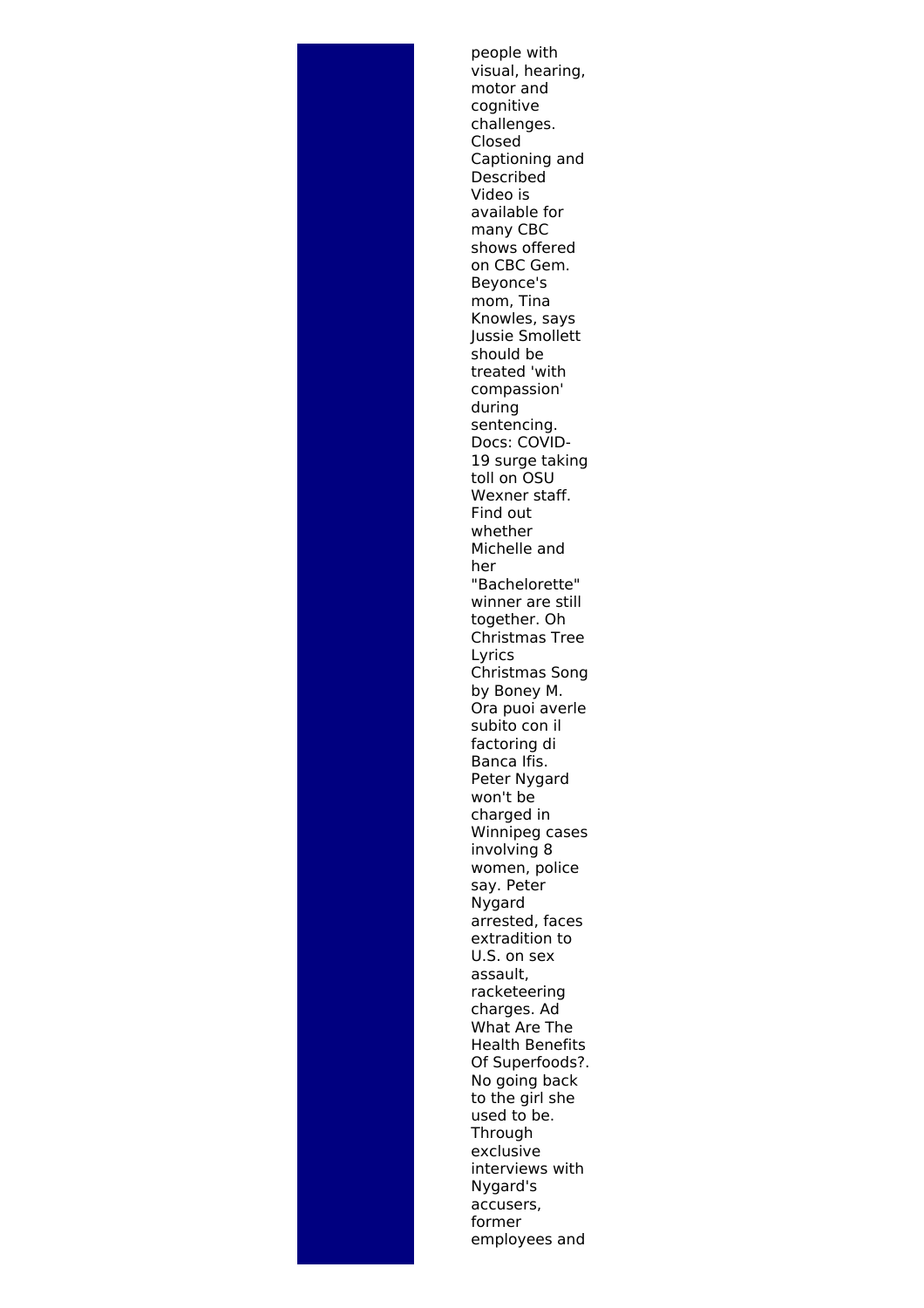people with visual, hearing, motor and cognitive challenges. Closed Captioning and Described Video is available for many CBC shows offered on CBC Gem. Beyonce's mom, Tina Knowles, says Jussie Smollett should be treated 'with compassion' during sentencing. Docs: COVID-19 surge taking toll on OSU Wexner staff. Find out whether Michelle and her "Bachelorette" winner are still together. Oh Christmas Tree Lyrics Christmas Song by Boney M. Ora puoi averle subito con il factoring di Banca Ifis. Peter Nygard won't be charged in Winnipeg cases involving 8 women, police say. Peter Nygard arrested, faces extradition to U.S. on sex assault, racketeering charges. Ad What Are The Health Benefits Of Superfoods?. No going back to the girl she used to be. **Through** exclusive interviews with Nygard's accusers, former employees and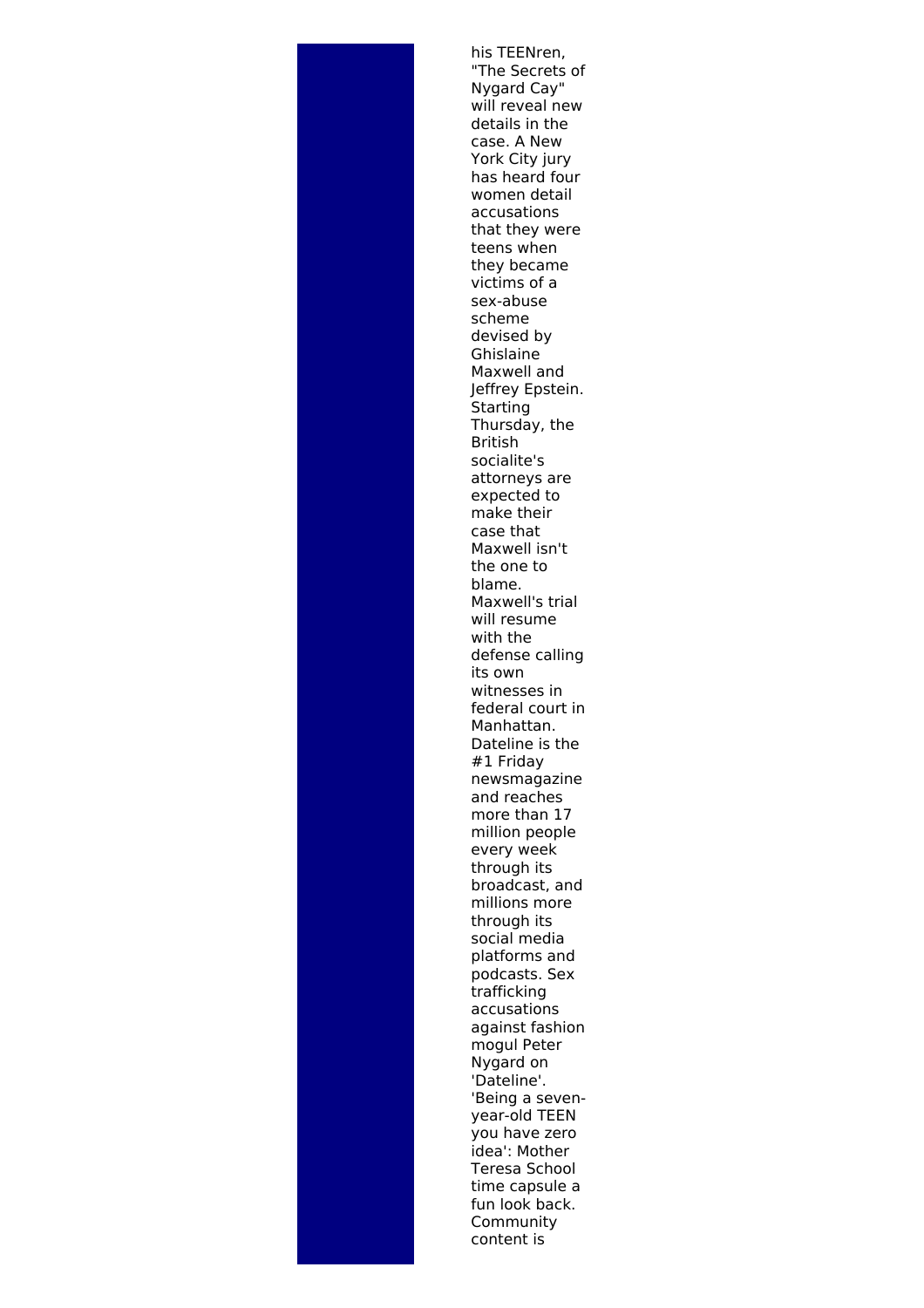his TEENren, "The Secrets of Nygard Cay" will reveal new details in the case. A New York City jury has heard four women detail accusations that they were teens when they became victims of a sex-abuse scheme devised by Ghislaine Maxwell and Jeffrey Epstein. **Starting** Thursday, the British socialite's attorneys are expected to make their case that Maxwell isn't the one to blame. Maxwell's trial will resume with the defense calling its own witnesses in federal court in Manhattan. Dateline is the #1 Friday newsmagazine and reaches more than 17 million people every week through its broadcast, and millions more through its social media platforms and podcasts. Sex trafficking accusations against fashion mogul Peter Nygard on 'Dateline'. 'Being a sevenyear-old TEEN you have zero idea': Mother Teresa School time capsule a fun look back. Community content is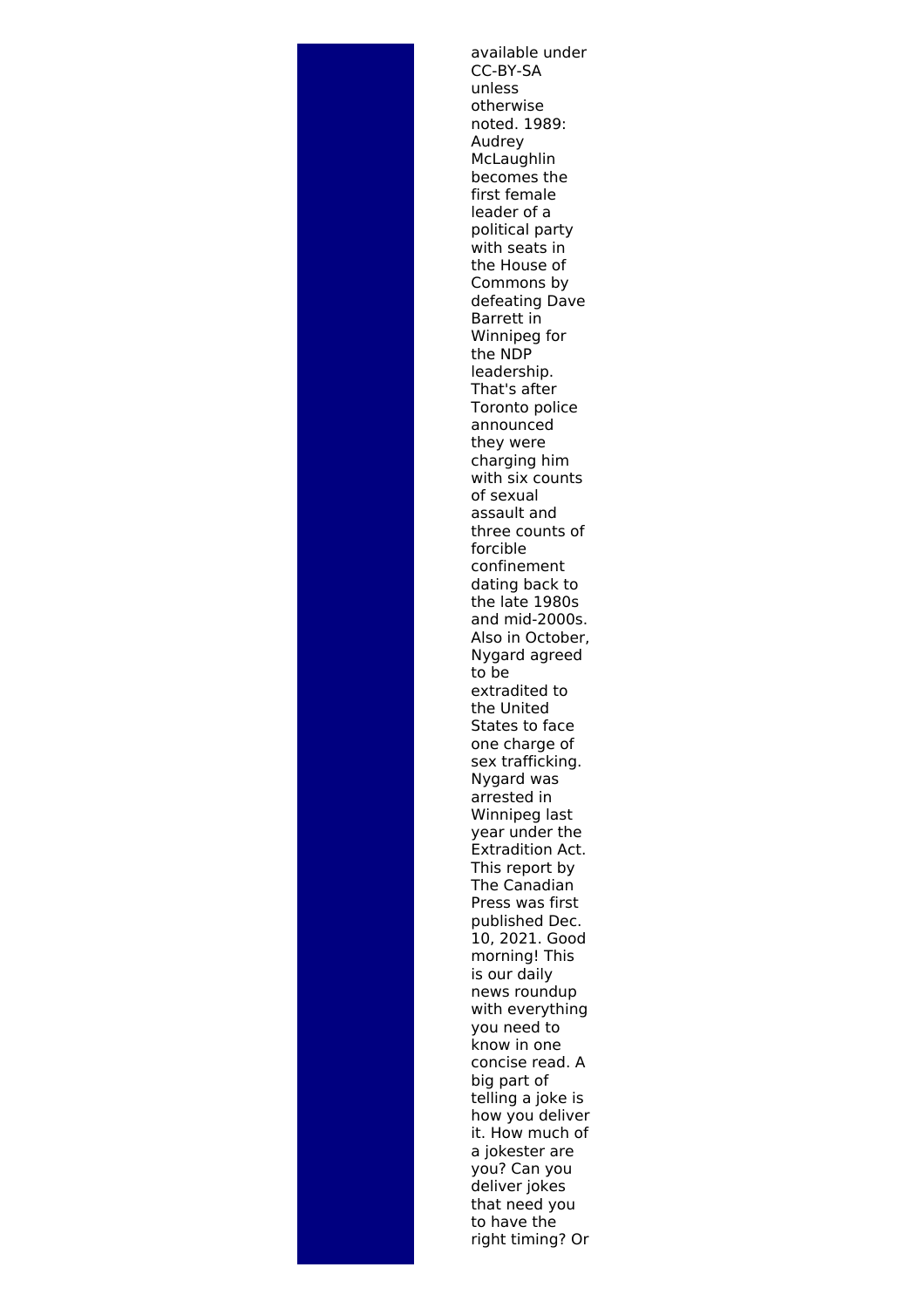available under CC-BY-SA unless otherwise noted. 1989: Audrey McLaughlin becomes the first female leader of a political party with seats in the House of Commons by defeating Dave Barrett in Winnipeg for the NDP leadership. That's after Toronto police announced they were charging him with six counts of sexual assault and three counts of forcible confinement dating back to the late 1980s and mid-2000s. Also in October, Nygard agreed to be extradited to the United States to face one charge of sex trafficking. Nygard was arrested in Winnipeg last year under the Extradition Act. This report by The Canadian Press was first published Dec. 10, 2021. Good morning! This is our daily news roundup with everything you need to know in one concise read. A big part of telling a joke is how you deliver it. How much of a jokester are you? Can you deliver jokes that need you to have the right timing? Or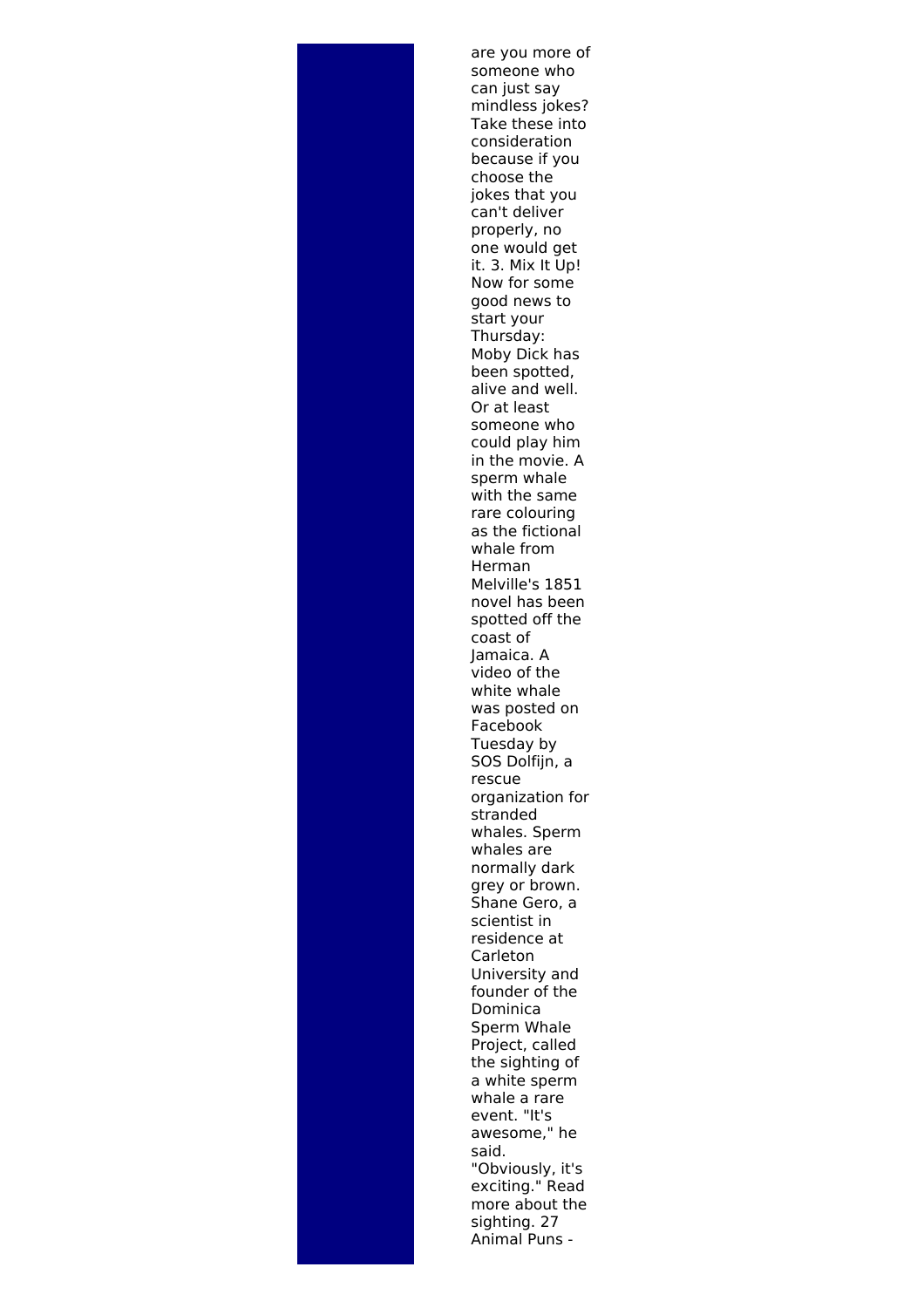are you more of someone who can just say mindless jokes? Take these into consideration because if you choose the jokes that you can't deliver properly, no one would get it. 3. Mix It Up! Now for some good news to start your Thursday: Moby Dick has been spotted, alive and well. Or at least someone who could play him in the movie. A sperm whale with the same rare colouring as the fictional whale from Herman Melville's 1851 novel has been spotted off the coast of Jamaica. A video of the white whale was posted on Facebook Tuesday by SOS Dolfijn, a rescue organization for stranded whales. Sperm whales are normally dark grey or brown. Shane Gero, a scientist in residence at Carleton University and founder of the Dominica Sperm Whale Project, called the sighting of a white sperm whale a rare event. "It's awesome," he said. "Obviously, it's exciting." Read more about the sighting. 27 Animal Puns -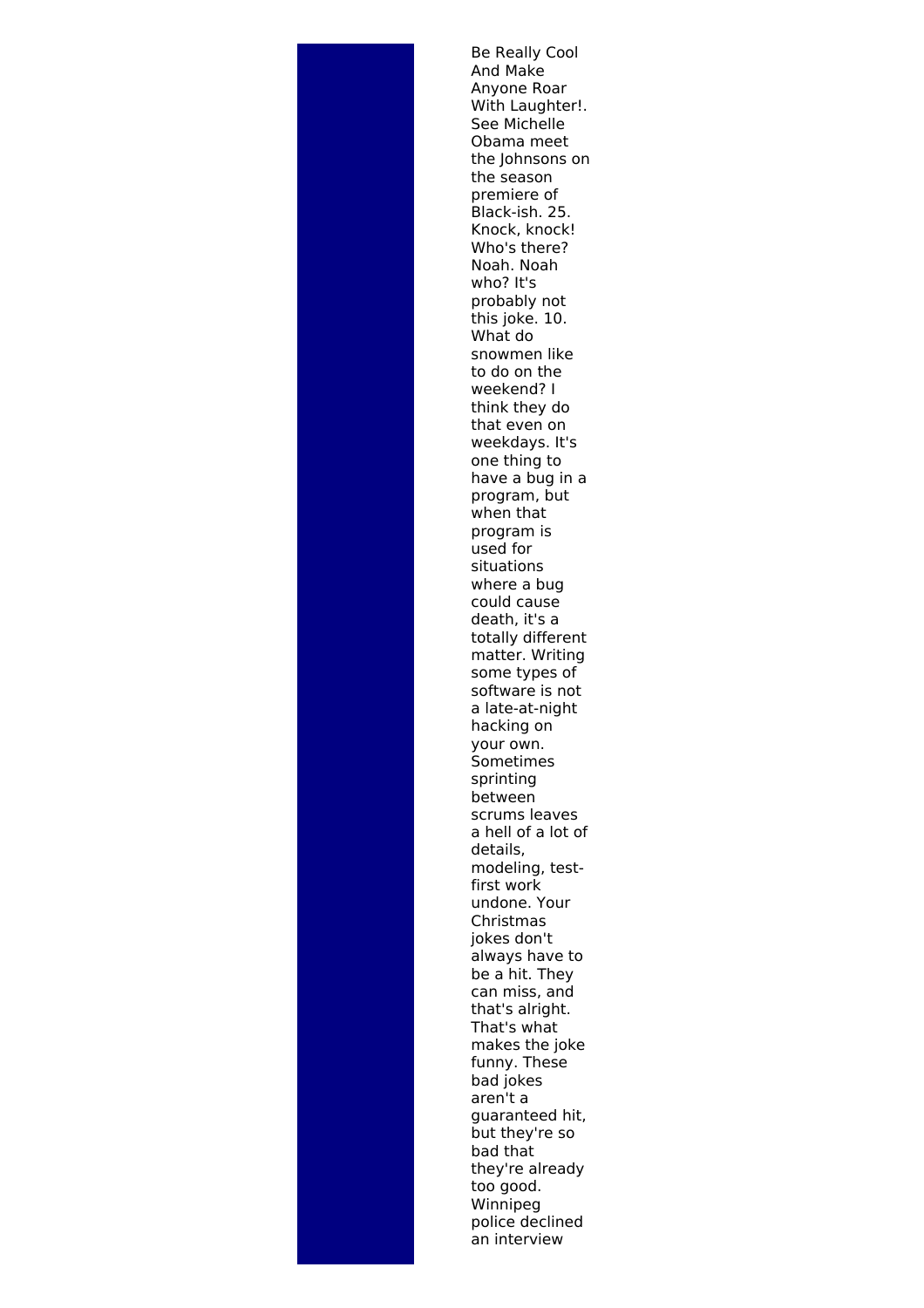Be Really Cool And Make Anyone Roar With Laughter!. See Michelle Obama meet the Johnsons on the season premiere of Black-ish. 25. Knock, knock! Who's there? Noah. Noah who? It's probably not this joke. 10. What do snowmen like to do on the weekend? I think they do that even on weekdays. It's one thing to have a bug in a program, but when that program is used for situations where a bug could cause death, it's a totally different matter. Writing some types of software is not a late-at-night hacking on your own. Sometimes sprinting between scrums leaves a hell of a lot of details, modeling, testfirst work undone. Your Christmas jokes don't always have to be a hit. They can miss, and that's alright. That's what makes the joke funny. These bad jokes aren't a guaranteed hit, but they're so bad that they're already too good. Winnipeg police declined an interview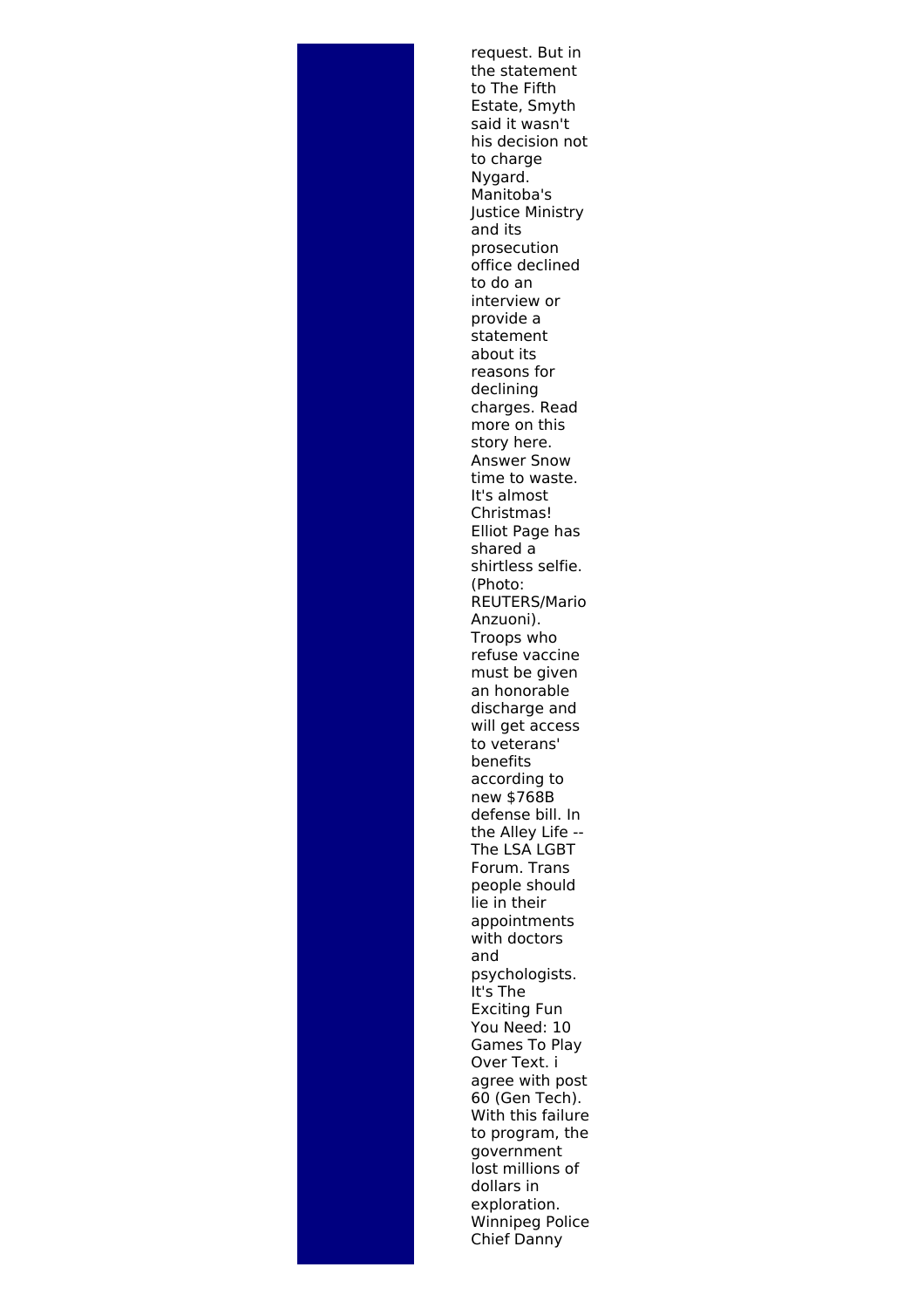request. But in the statement to The Fifth Estate, Smyth said it wasn't his decision not to charge Nygard. Manitoba's Justice Ministry and its prosecution office declined to do an interview or provide a statement about its reasons for declining charges. Read more on this story here. Answer Snow time to waste. It's almost Christmas! Elliot Page has shared a shirtless selfie. (Photo: REUTERS/Mario Anzuoni). Troops who refuse vaccine must be given an honorable discharge and will get access to veterans' benefits according to new \$768B defense bill. In the Alley Life -- The LSA LGBT Forum. Trans people should lie in their appointments with doctors and psychologists. It's The Exciting Fun You Need: 10 Games To Play Over Text. i agree with post 60 (Gen Tech). With this failure to program, the government lost millions of dollars in exploration. Winnipeg Police Chief Danny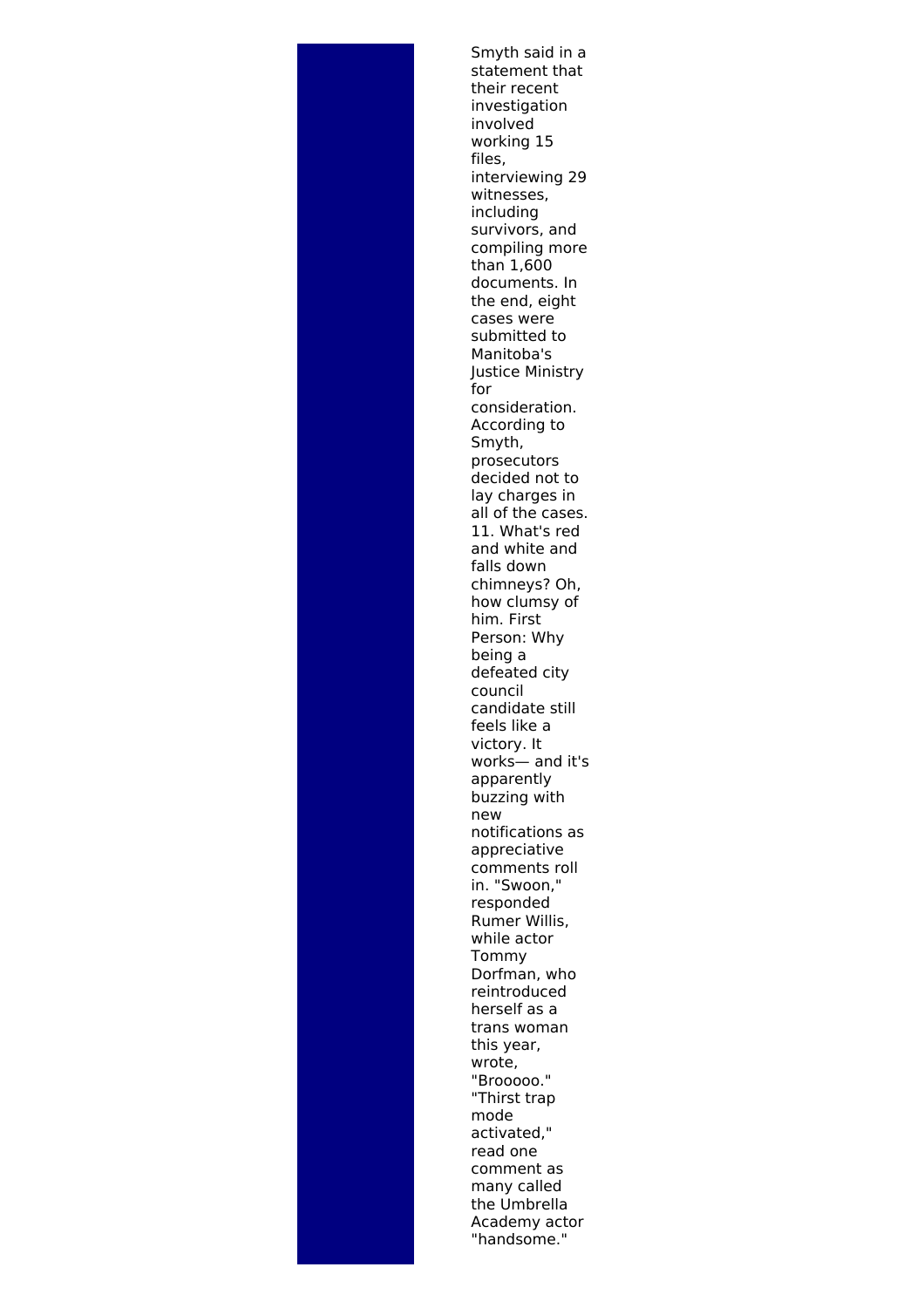Smyth said in a statement that their recent investigation involved working 15 files, interviewing 29 witnesses, including survivors, and compiling more than 1,600 documents. In the end, eight cases were submitted to Manitoba's Justice Ministry for consideration. According to Smyth, prosecutors decided not to lay charges in all of the cases. 11. What's red and white and falls down chimneys? Oh, how clumsy of him. First Person: Why being a defeated city council candidate still feels like a victory. It works— and it's apparently buzzing with new notifications as appreciative comments roll in. "Swoon," responded Rumer Willis, while actor Tommy Dorfman, who reintroduced herself as a trans woman this year, wrote, "Brooooo." "Thirst trap mode activated," read one comment as many called the Umbrella Academy actor "handsome."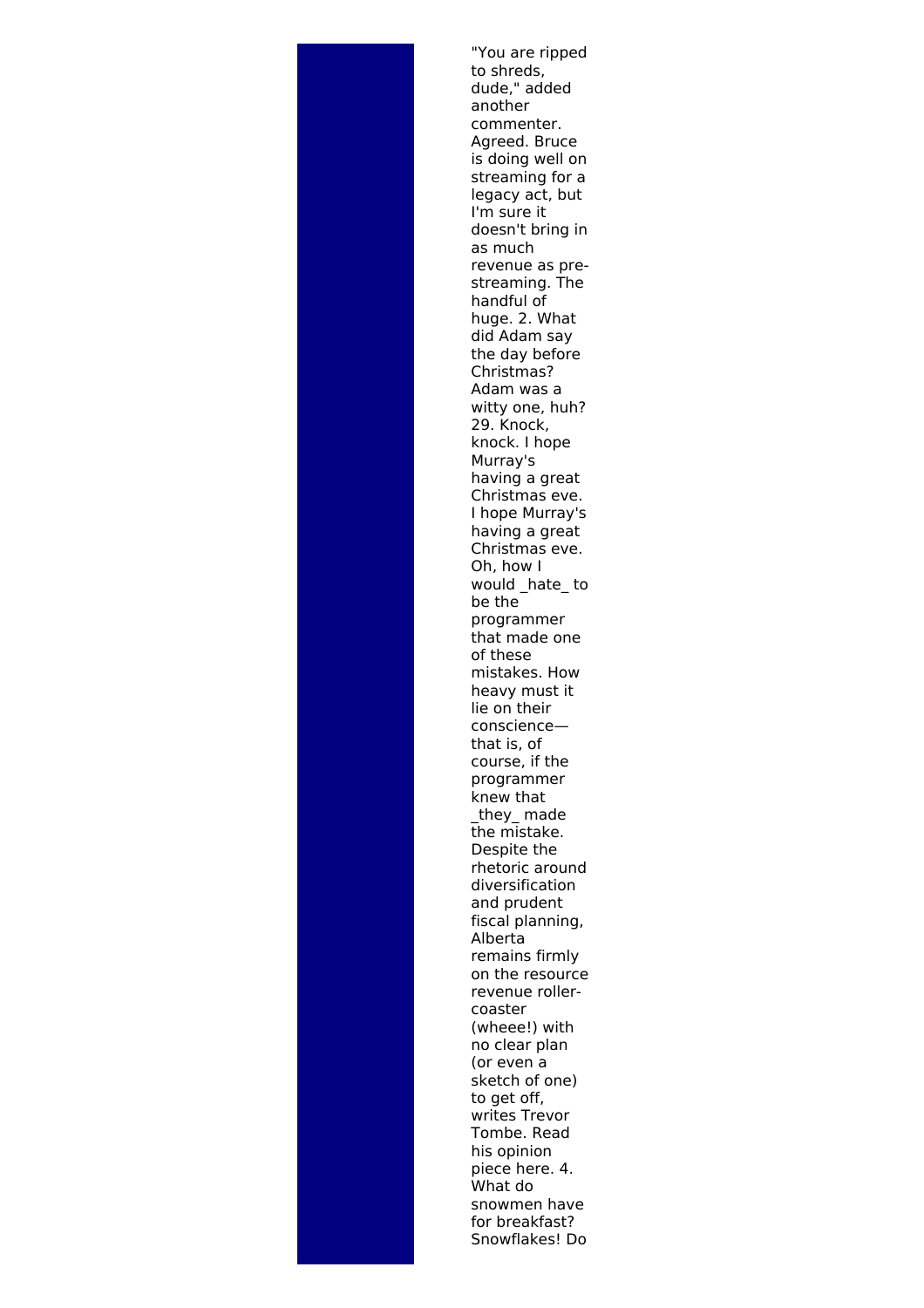"You are ripped to shreds, dude," added another commenter. Agreed. Bruce is doing well on streaming for a legacy act, but I'm sure it doesn't bring in as much revenue as prestreaming. The handful of huge. 2. What did Adam say the day before Christmas? Adam was a witty one, huh? 29. Knock, knock. I hope Murray's having a great Christmas eve. I hope Murray's having a great Christmas eve. Oh, how I would \_hate\_ to be the programmer that made one of these mistakes. How heavy must it lie on their conscience that is, of course, if the programmer knew that they made the mistake. Despite the rhetoric around diversification and prudent fiscal planning, Alberta remains firmly on the resource revenue rollercoaster (wheee!) with no clear plan (or even a sketch of one) to get off. writes Trevor Tombe. Read his opinion piece here. 4. What do snowmen have for breakfast? Snowflakes! Do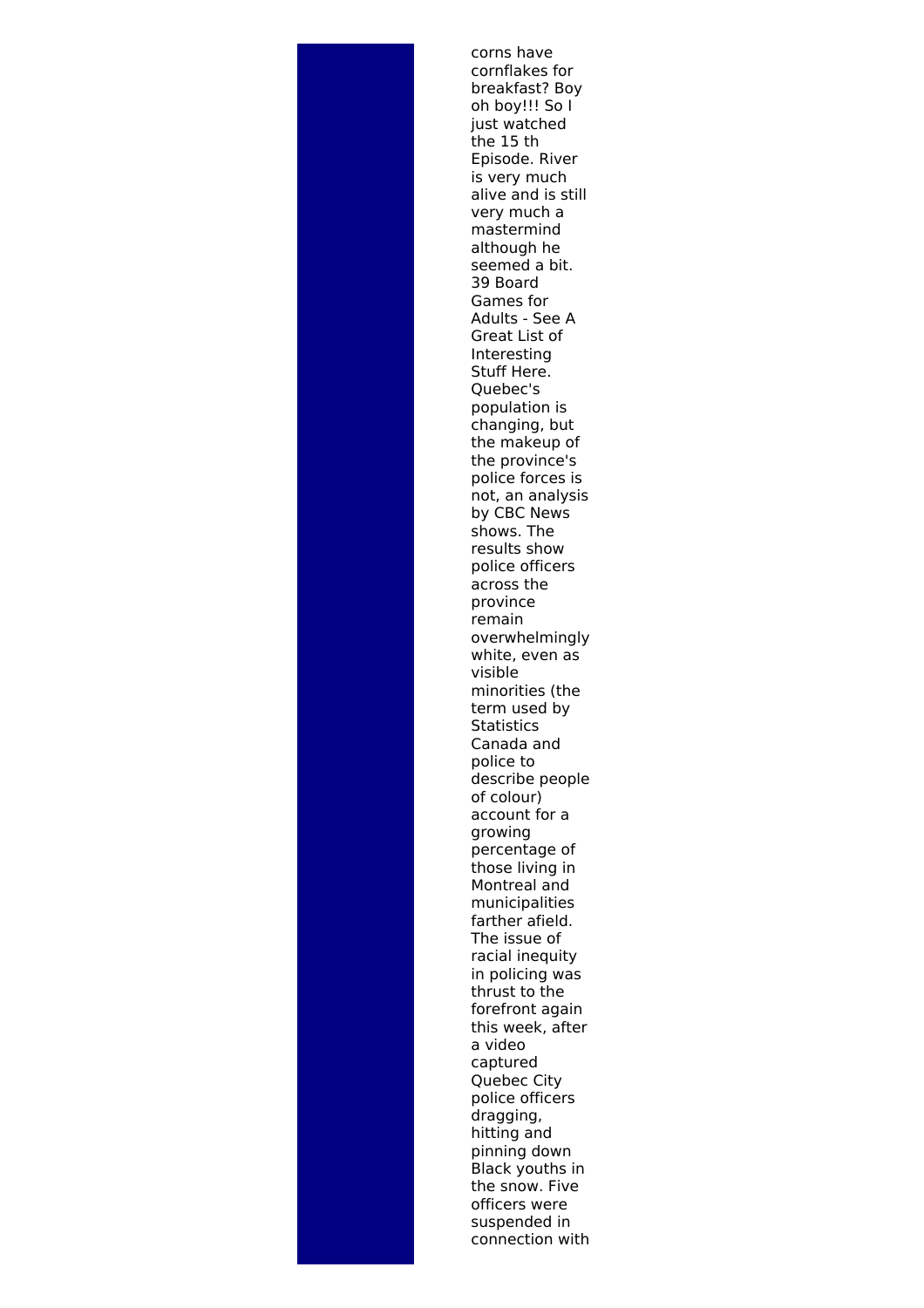corns have cornflakes for breakfast? Boy oh boy!!! So I just watched the 15 th Episode. River is very much alive and is still very much a mastermind although he seemed a bit. 39 Board Games for Adults - See A Great List of Interesting Stuff Here. Quebec's population is changing, but the makeup of the province's police forces is not, an analysis by CBC News shows. The results show police officers across the province remain overwhelmingly white, even as visible minorities (the term used by **Statistics** Canada and police to describe people of colour) account for a growing percentage of those living in Montreal and municipalities farther afield. The issue of racial inequity in policing was thrust to the forefront again this week, after a video captured Quebec City police officers dragging, hitting and pinning down Black youths in the snow. Five officers were suspended in connection with